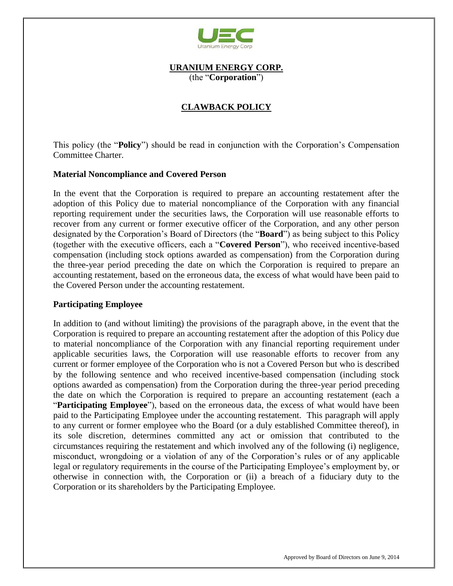

### **URANIUM ENERGY CORP.** (the "**Corporation**")

# **CLAWBACK POLICY**

This policy (the "**Policy**") should be read in conjunction with the Corporation's Compensation Committee Charter.

### **Material Noncompliance and Covered Person**

In the event that the Corporation is required to prepare an accounting restatement after the adoption of this Policy due to material noncompliance of the Corporation with any financial reporting requirement under the securities laws, the Corporation will use reasonable efforts to recover from any current or former executive officer of the Corporation, and any other person designated by the Corporation's Board of Directors (the "**Board**") as being subject to this Policy (together with the executive officers, each a "**Covered Person**"), who received incentive-based compensation (including stock options awarded as compensation) from the Corporation during the three-year period preceding the date on which the Corporation is required to prepare an accounting restatement, based on the erroneous data, the excess of what would have been paid to the Covered Person under the accounting restatement.

#### **Participating Employee**

In addition to (and without limiting) the provisions of the paragraph above, in the event that the Corporation is required to prepare an accounting restatement after the adoption of this Policy due to material noncompliance of the Corporation with any financial reporting requirement under applicable securities laws, the Corporation will use reasonable efforts to recover from any current or former employee of the Corporation who is not a Covered Person but who is described by the following sentence and who received incentive-based compensation (including stock options awarded as compensation) from the Corporation during the three-year period preceding the date on which the Corporation is required to prepare an accounting restatement (each a "**Participating Employee**"), based on the erroneous data, the excess of what would have been paid to the Participating Employee under the accounting restatement. This paragraph will apply to any current or former employee who the Board (or a duly established Committee thereof), in its sole discretion, determines committed any act or omission that contributed to the circumstances requiring the restatement and which involved any of the following (i) negligence, misconduct, wrongdoing or a violation of any of the Corporation's rules or of any applicable legal or regulatory requirements in the course of the Participating Employee's employment by, or otherwise in connection with, the Corporation or (ii) a breach of a fiduciary duty to the Corporation or its shareholders by the Participating Employee.